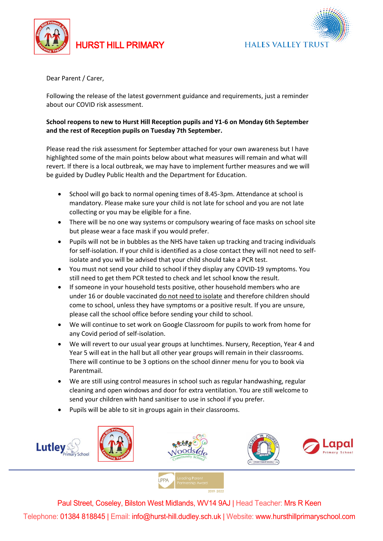

## HURST HILL PRIMARY



Dear Parent / Carer,

Following the release of the latest government guidance and requirements, just a reminder about our COVID risk assessment.

## **School reopens to new to Hurst Hill Reception pupils and Y1-6 on Monday 6th September and the rest of Reception pupils on Tuesday 7th September.**

Please read the risk assessment for September attached for your own awareness but I have highlighted some of the main points below about what measures will remain and what will revert. If there is a local outbreak, we may have to implement further measures and we will be guided by Dudley Public Health and the Department for Education.

- School will go back to normal opening times of 8.45-3pm. Attendance at school is mandatory. Please make sure your child is not late for school and you are not late collecting or you may be eligible for a fine.
- There will be no one way systems or compulsory wearing of face masks on school site but please wear a face mask if you would prefer.
- Pupils will not be in bubbles as the NHS have taken up tracking and tracing individuals for self-isolation. If your child is identified as a close contact they will not need to selfisolate and you will be advised that your child should take a PCR test.
- You must not send your child to school if they display any COVID-19 symptoms. You still need to get them PCR tested to check and let school know the result.
- If someone in your household tests positive, other household members who are under 16 or double vaccinated do not need to isolate and therefore children should come to school, unless they have symptoms or a positive result. If you are unsure, please call the school office before sending your child to school.
- We will continue to set work on Google Classroom for pupils to work from home for any Covid period of self-isolation.
- We will revert to our usual year groups at lunchtimes. Nursery, Reception, Year 4 and Year 5 will eat in the hall but all other year groups will remain in their classrooms. There will continue to be 3 options on the school dinner menu for you to book via Parentmail.
- We are still using control measures in school such as regular handwashing, regular cleaning and open windows and door for extra ventilation. You are still welcome to send your children with hand sanitiser to use in school if you prefer.
- Pupils will be able to sit in groups again in their classrooms.



Paul Street, Coseley, Bilston West Midlands, WV14 9AJ | Head Teacher: Mrs R Keen Telephone: 01384 818845 | Email: info@hurst-hill.dudley.sch.uk | Website: www.hursthillprimaryschool.com